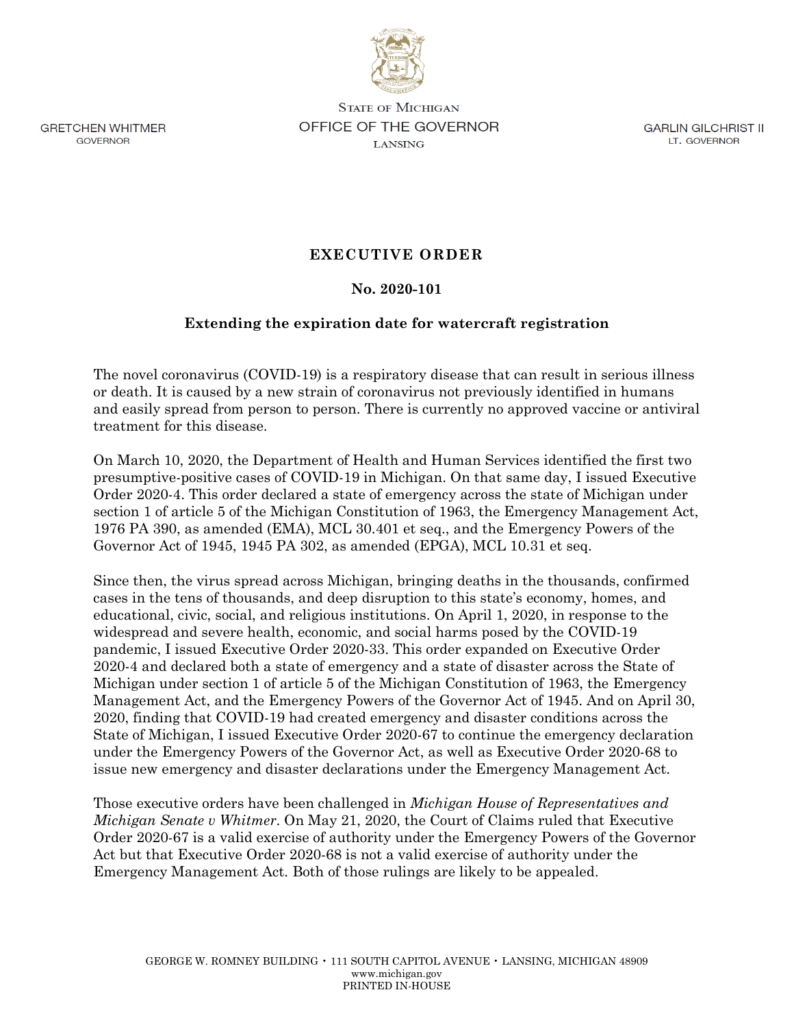

**GRETCHEN WHITMER** GOVERNOR

**STATE OF MICHIGAN OFFICE OF THE GOVERNOR LANSING** 

GARLIN GILCHRIST II LT. GOVERNOR

## **EXECUTIVE ORDER**

## **No. 2020-101**

## **Extending the expiration date for watercraft registration**

The novel coronavirus (COVID-19) is a respiratory disease that can result in serious illness or death. It is caused by a new strain of coronavirus not previously identified in humans and easily spread from person to person. There is currently no approved vaccine or antiviral treatment for this disease.

On March 10, 2020, the Department of Health and Human Services identified the first two presumptive-positive cases of COVID-19 in Michigan. On that same day, I issued Executive Order 2020-4. This order declared a state of emergency across the state of Michigan under section 1 of article 5 of the Michigan Constitution of 1963, the Emergency Management Act, 1976 PA 390, as amended (EMA), MCL 30.401 et seq., and the Emergency Powers of the Governor Act of 1945, 1945 PA 302, as amended (EPGA), MCL 10.31 et seq.

Since then, the virus spread across Michigan, bringing deaths in the thousands, confirmed cases in the tens of thousands, and deep disruption to this state's economy, homes, and educational, civic, social, and religious institutions. On April 1, 2020, in response to the widespread and severe health, economic, and social harms posed by the COVID-19 pandemic, I issued Executive Order 2020-33. This order expanded on Executive Order 2020-4 and declared both a state of emergency and a state of disaster across the State of Michigan under section 1 of article 5 of the Michigan Constitution of 1963, the Emergency Management Act, and the Emergency Powers of the Governor Act of 1945. And on April 30, 2020, finding that COVID-19 had created emergency and disaster conditions across the State of Michigan, I issued Executive Order 2020-67 to continue the emergency declaration under the Emergency Powers of the Governor Act, as well as Executive Order 2020-68 to issue new emergency and disaster declarations under the Emergency Management Act.

Those executive orders have been challenged in *Michigan House of Representatives and Michigan Senate v Whitmer*. On May 21, 2020, the Court of Claims ruled that Executive Order 2020-67 is a valid exercise of authority under the Emergency Powers of the Governor Act but that Executive Order 2020-68 is not a valid exercise of authority under the Emergency Management Act. Both of those rulings are likely to be appealed.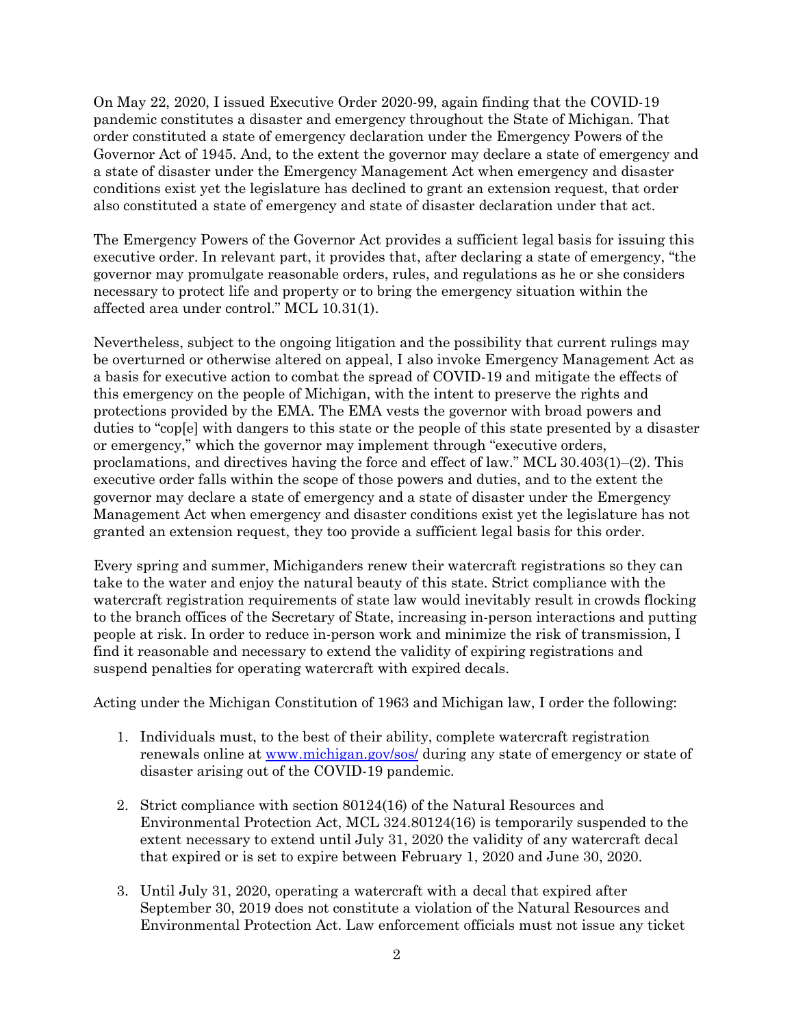On May 22, 2020, I issued Executive Order 2020-99, again finding that the COVID-19 pandemic constitutes a disaster and emergency throughout the State of Michigan. That order constituted a state of emergency declaration under the Emergency Powers of the Governor Act of 1945. And, to the extent the governor may declare a state of emergency and a state of disaster under the Emergency Management Act when emergency and disaster conditions exist yet the legislature has declined to grant an extension request, that order also constituted a state of emergency and state of disaster declaration under that act.

The Emergency Powers of the Governor Act provides a sufficient legal basis for issuing this executive order. In relevant part, it provides that, after declaring a state of emergency, "the governor may promulgate reasonable orders, rules, and regulations as he or she considers necessary to protect life and property or to bring the emergency situation within the affected area under control." MCL 10.31(1).

Nevertheless, subject to the ongoing litigation and the possibility that current rulings may be overturned or otherwise altered on appeal, I also invoke Emergency Management Act as a basis for executive action to combat the spread of COVID-19 and mitigate the effects of this emergency on the people of Michigan, with the intent to preserve the rights and protections provided by the EMA. The EMA vests the governor with broad powers and duties to "cop[e] with dangers to this state or the people of this state presented by a disaster or emergency," which the governor may implement through "executive orders, proclamations, and directives having the force and effect of law." MCL 30.403(1)–(2). This executive order falls within the scope of those powers and duties, and to the extent the governor may declare a state of emergency and a state of disaster under the Emergency Management Act when emergency and disaster conditions exist yet the legislature has not granted an extension request, they too provide a sufficient legal basis for this order.

Every spring and summer, Michiganders renew their watercraft registrations so they can take to the water and enjoy the natural beauty of this state. Strict compliance with the watercraft registration requirements of state law would inevitably result in crowds flocking to the branch offices of the Secretary of State, increasing in-person interactions and putting people at risk. In order to reduce in-person work and minimize the risk of transmission, I find it reasonable and necessary to extend the validity of expiring registrations and suspend penalties for operating watercraft with expired decals.

Acting under the Michigan Constitution of 1963 and Michigan law, I order the following:

- 1. Individuals must, to the best of their ability, complete watercraft registration renewals online at www.michigan.gov/sos/ during any state of emergency or state of disaster arising out of the COVID-19 pandemic.
- 2. Strict compliance with section 80124(16) of the Natural Resources and Environmental Protection Act, MCL 324.80124(16) is temporarily suspended to the extent necessary to extend until July 31, 2020 the validity of any watercraft decal that expired or is set to expire between February 1, 2020 and June 30, 2020.
- 3. Until July 31, 2020, operating a watercraft with a decal that expired after September 30, 2019 does not constitute a violation of the Natural Resources and Environmental Protection Act. Law enforcement officials must not issue any ticket